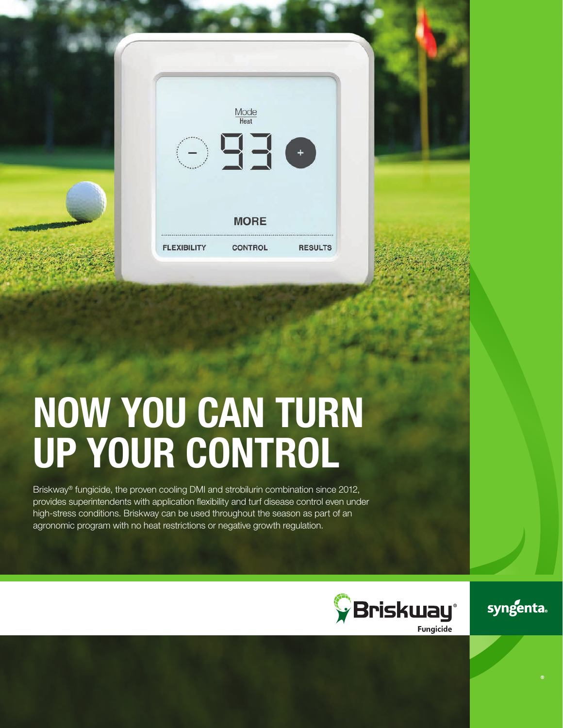| $\frac{\text{Mode}}{\text{Heat}}$<br><b>OEE</b>                       |  |
|-----------------------------------------------------------------------|--|
| <b>MORE</b><br><b>FLEXIBILITY</b><br><b>CONTROL</b><br><b>RESULTS</b> |  |

# NOW YOU CAN TURN UP YOUR CONTROL

Briskway® fungicide, the proven cooling DMI and strobilurin combination since 2012, provides superintendents with application flexibility and turf disease control even under high-stress conditions. Briskway can be used throughout the season as part of an agronomic program with no heat restrictions or negative growth regulation.



syngenta.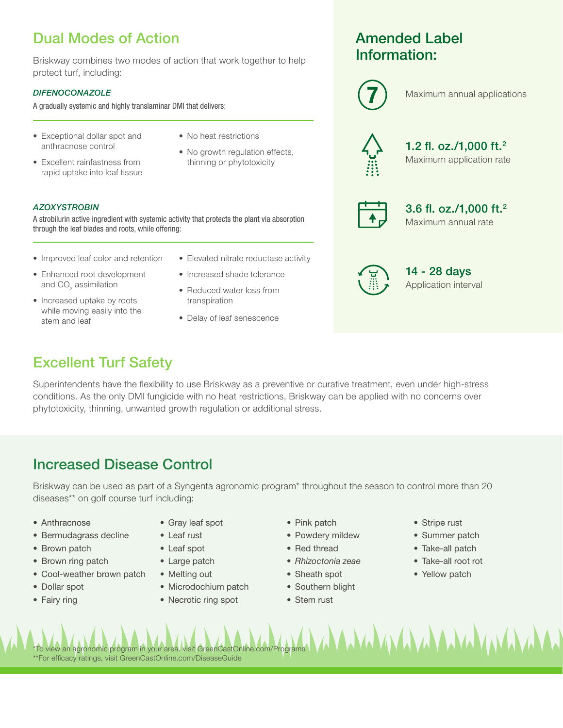## Dual Modes of Action

Briskway combines two modes of action that work together to help protect turf, including:

A strobilurin active ingredient with systemic activity that protects the plant via absorption

#### *DIFENOCONAZOLE*

*AZOXYSTROBIN*

A gradually systemic and highly translaminar DMI that delivers:

- Exceptional dollar spot and anthracnose control
- Excellent rainfastness from rapid uptake into leaf tissue
- No heat restrictions
- No growth regulation effects, thinning or phytotoxicity

## Amended Label Information:



Maximum annual applications 7



Maximum application rate 1.2 fl. oz./1,000 ft.2

Maximum annual rate 3.6 fl. oz./1,000 ft.2



Application interval 14 - 28 days

• Improved leaf color and retention

through the leaf blades and roots, while offering:

- Enhanced root development and CO $_{\tiny 2}$  assimilation
- Increased uptake by roots while moving easily into the stem and leaf
- Elevated nitrate reductase activity
- Increased shade tolerance
- Reduced water loss from transpiration
- Delay of leaf senescence

## Excellent Turf Safety

Superintendents have the flexibility to use Briskway as a preventive or curative treatment, even under high-stress conditions. As the only DMI fungicide with no heat restrictions, Briskway can be applied with no concerns over phytotoxicity, thinning, unwanted growth regulation or additional stress.

### Increased Disease Control

Briskway can be used as part of a Syngenta agronomic program\* throughout the season to control more than 20 diseases\*\* on golf course turf including:

- Anthracnose
- Bermudagrass decline
- Brown patch
- Brown ring patch
- Cool-weather brown patch
- Dollar spot
- Fairy ring
- Gray leaf spot
- Leaf rust
- Leaf spot
- Large patch
- Melting out
- Microdochium patch
- Necrotic ring spot
- Pink patch
- Powdery mildew
- Red thread
- *• Rhizoctonia zeae*
- Sheath spot
- Southern blight
- Stem rust
- Stripe rust
- Summer patch
- Take-all patch
- Take-all root rot
- Yellow patch

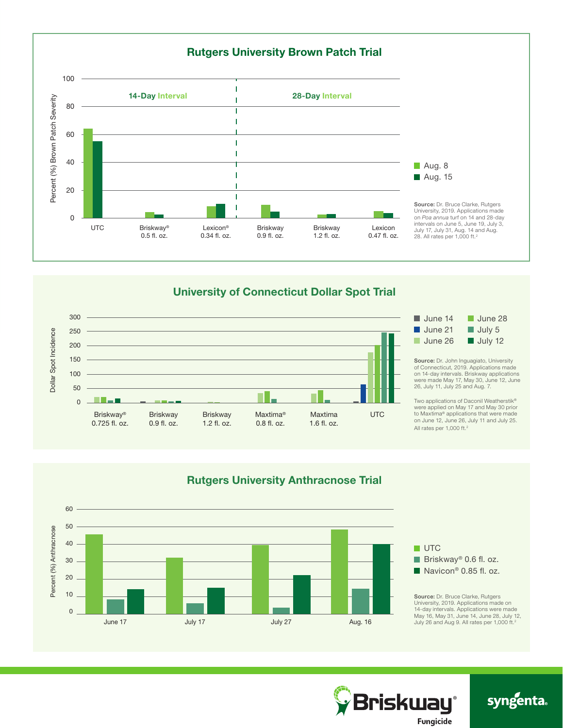

#### University of Connecticut Dollar Spot Trial





Source: Dr. John Inguagiato, University of Connecticut, 2019. Applications made on 14-day intervals. Briskway applications were made May 17, May 30, June 12, June 26, July 11, July 25 and Aug. 7.

Two applications of Daconil Weatherstik® were applied on May 17 and May 30 prior to Maxtima® applications that were made on June 12, June 26, July 11 and July 25. All rates per 1,000 ft.2





## syngenta.